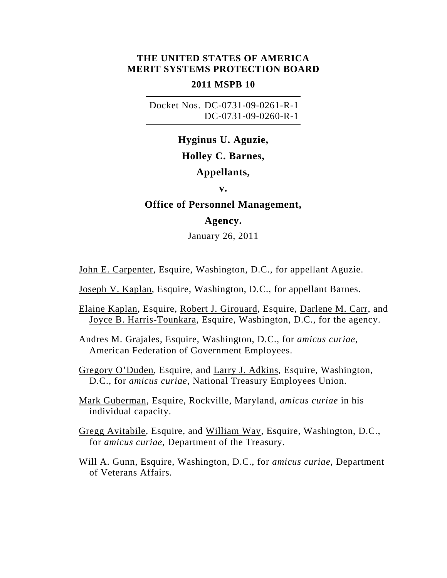## **THE UNITED STATES OF AMERICA MERIT SYSTEMS PROTECTION BOARD**

## **2011 MSPB 10**

 Docket Nos. DC-0731-09-0261-R-1 DC-0731-09-0260-R-1

# **Hyginus U. Aguzie, Holley C. Barnes,**

## **Appellants,**

**v.** 

## **Office of Personnel Management,**

## **Agency.**

January 26, 2011

John E. Carpenter, Esquire, Washington, D.C., for appellant Aguzie.

Joseph V. Kaplan, Esquire, Washington, D.C., for appellant Barnes.

- Elaine Kaplan, Esquire, Robert J. Girouard, Esquire, Darlene M. Carr, and Joyce B. Harris-Tounkara, Esquire, Washington, D.C., for the agency.
- Andres M. Grajales, Esquire, Washington, D.C., for *amicus curiae*, American Federation of Government Employees.
- Gregory O'Duden, Esquire, and Larry J. Adkins, Esquire, Washington, D.C., for *amicus curiae*, National Treasury Employees Union.

Mark Guberman, Esquire, Rockville, Maryland, *amicus curiae* in his individual capacity.

Gregg Avitabile, Esquire, and William Way, Esquire, Washington, D.C., for *amicus curiae*, Department of the Treasury.

Will A. Gunn, Esquire, Washington, D.C., for *amicus curiae*, Department of Veterans Affairs.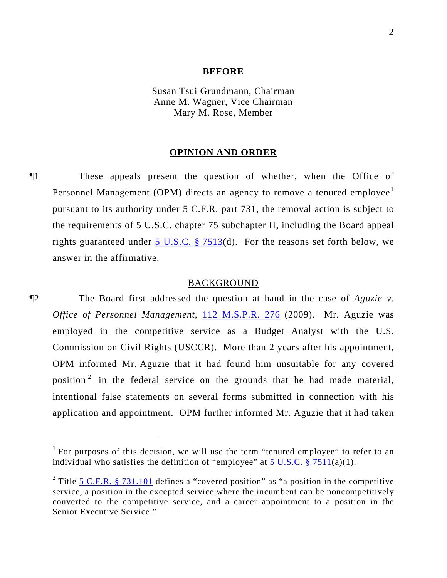#### **BEFORE**

Susan Tsui Grundmann, Chairman Anne M. Wagner, Vice Chairman Mary M. Rose, Member

## **OPINION AND ORDER**

¶1 These appeals present the question of whether, when the Office of Personnel Management (OPM) directs an agency to remove a tenured employee<sup>[1](#page-1-0)</sup> pursuant to its authority under 5 C.F.R. part 731, the removal action is subject to the requirements of 5 U.S.C. chapter 75 subchapter II, including the Board appeal rights guaranteed under 5 U.S.C.  $\S$  7513(d). For the reasons set forth below, we answer in the affirmative.

#### BACKGROUND

¶2 The Board first addressed the question at hand in the case of *Aguzie v. Office of Personnel Management*, [112 M.S.P.R. 276](http://www.mspb.gov/netsearch/getdecision.aspx?volume=112&page=276) (2009). Mr. Aguzie was employed in the competitive service as a Budget Analyst with the U.S. Commission on Civil Rights (USCCR). More than 2 years after his appointment, OPM informed Mr. Aguzie that it had found him unsuitable for any covered position<sup>[2](#page-1-1)</sup> in the federal service on the grounds that he had made material, intentional false statements on several forms submitted in connection with his application and appointment. OPM further informed Mr. Aguzie that it had taken

 $\overline{a}$ 

<span id="page-1-0"></span><sup>&</sup>lt;sup>1</sup> For purposes of this decision, we will use the term "tenured employee" to refer to an individual who satisfies the definition of "employee" at  $5 \text{ U.S.C.} \$   $7511(a)(1)$ .

<span id="page-1-1"></span><sup>&</sup>lt;sup>2</sup> Title  $5$  C.F.R. § 731.101 defines a "covered position" as "a position in the competitive service, a position in the excepted service where the incumbent can be noncompetitively converted to the competitive service, and a career appointment to a position in the Senior Executive Service."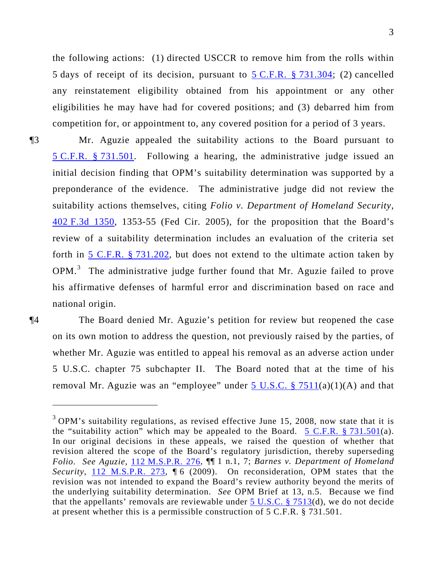the following actions: (1) directed USCCR to remove him from the rolls within 5 days of receipt of its decision, pursuant to  $5 \text{ C.F.R.}$  § 731.304; (2) cancelled any reinstatement eligibility obtained from his appointment or any other eligibilities he may have had for covered positions; and (3) debarred him from competition for, or appointment to, any covered position for a period of 3 years.

¶3 Mr. Aguzie appealed the suitability actions to the Board pursuant to [5 C.F.R. § 731.501.](http://frwebgate.access.gpo.gov/cgi-bin/get-cfr.cgi?YEAR=current&TITLE=5&PART=731&SECTION=501&TYPE=PDF) Following a hearing, the administrative judge issued an initial decision finding that OPM's suitability determination was supported by a preponderance of the evidence. The administrative judge did not review the suitability actions themselves, citing *Folio v. Department of Homeland Security*, [402 F.3d 1350,](http://lawlibrary.rutgers.edu/resource.org/fed_reporter/F3/402/402.F3d.1350.html) 1353-55 (Fed Cir. 2005), for the proposition that the Board's review of a suitability determination includes an evaluation of the criteria set forth in [5 C.F.R. § 731.202,](http://frwebgate.access.gpo.gov/cgi-bin/get-cfr.cgi?YEAR=current&TITLE=5&PART=731&SECTION=202&TYPE=PDF) but does not extend to the ultimate action taken by  $OPM<sup>3</sup>$  $OPM<sup>3</sup>$  $OPM<sup>3</sup>$  The administrative judge further found that Mr. Aguzie failed to prove his affirmative defenses of harmful error and discrimination based on race and national origin.

 $\overline{a}$ 

¶4 The Board denied Mr. Aguzie's petition for review but reopened the case on its own motion to address the question, not previously raised by the parties, of whether Mr. Aguzie was entitled to appeal his removal as an adverse action under 5 U.S.C. chapter 75 subchapter II. The Board noted that at the time of his removal Mr. Aguzie was an "employee" under  $5 \text{ U.S.C. }$  \$ 7511(a)(1)(A) and that

<span id="page-2-0"></span> $3$  OPM's suitability regulations, as revised effective June 15, 2008, now state that it is the "suitability action" which may be appealed to the Board. [5 C.F.R. § 731.501\(](http://frwebgate.access.gpo.gov/cgi-bin/get-cfr.cgi?YEAR=current&TITLE=5&PART=731&SECTION=501&TYPE=PDF)a). In our original decisions in these appeals, we raised the question of whether that revision altered the scope of the Board's regulatory jurisdiction, thereby superseding *Folio*. *See Aguzie*, [112 M.S.P.R. 276,](http://www.mspb.gov/netsearch/getdecision.aspx?volume=112&page=276) ¶¶ 1 n.1, 7; *Barnes v. Department of Homeland Security*, [112 M.S.P.R. 273](http://www.mspb.gov/netsearch/getdecision.aspx?volume=112&page=273), ¶ 6 (2009). On reconsideration, OPM states that the revision was not intended to expand the Board's review authority beyond the merits of the underlying suitability determination. *See* OPM Brief at 13, n.5. Because we find that the appellants' removals are reviewable under  $5 \text{ U.S.C. }$  §  $7513(d)$ , we do not decide at present whether this is a permissible construction of 5 C.F.R. § 731.501.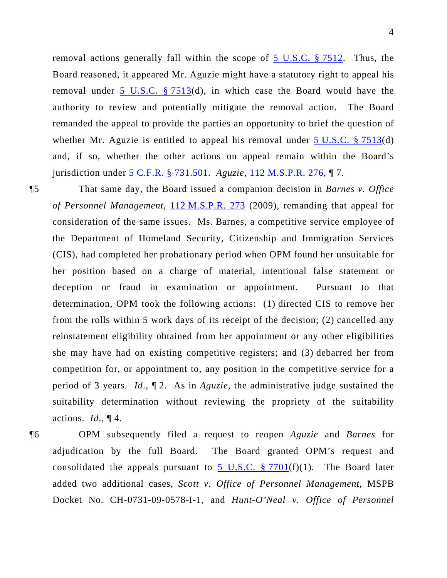removal actions generally fall within the scope of 5 U.S.C. § 7512. Thus, the Board reasoned, it appeared Mr. Aguzie might have a statutory right to appeal his removal under  $\overline{5}$  U.S.C. § 7513(d), in which case the Board would have the authority to review and potentially mitigate the removal action. The Board remanded the appeal to provide the parties an opportunity to brief the question of whether Mr. Aguzie is entitled to appeal his removal under  $5 \text{ U.S.C. }$  \$ 7513(d) and, if so, whether the other actions on appeal remain within the Board's jurisdiction under 5 C.F.R. § 731.501. *Aguzie*, 112 M.S.P.R. 276, ¶ 7.

¶5 That same day, the Board issued a companion decision in *Barnes v. Office of Personnel Management*, [112 M.S.P.R. 273](http://www.mspb.gov/netsearch/getdecision.aspx?volume=112&page=273) (2009), remanding that appeal for consideration of the same issues. Ms. Barnes, a competitive service employee of the Department of Homeland Security, Citizenship and Immigration Services (CIS), had completed her probationary period when OPM found her unsuitable for her position based on a charge of material, intentional false statement or deception or fraud in examination or appointment. Pursuant to that determination, OPM took the following actions: (1) directed CIS to remove her from the rolls within 5 work days of its receipt of the decision; (2) cancelled any reinstatement eligibility obtained from her appointment or any other eligibilities she may have had on existing competitive registers; and (3) debarred her from competition for, or appointment to, any position in the competitive service for a period of 3 years. *Id*., ¶ 2.As in *Aguzie*, the administrative judge sustained the suitability determination without reviewing the propriety of the suitability actions. *Id*., ¶ 4.

¶6 OPM subsequently filed a request to reopen *Aguzie* and *Barnes* for adjudication by the full Board. The Board granted OPM's request and consolidated the appeals pursuant to 5 U.S.C.  $\S 7701(f)(1)$ . The Board later added two additional cases, *Scott v. Office of Personnel Management*, MSPB Docket No. CH-0731-09-0578-I-1, and *Hunt-O'Neal v. Office of Personnel*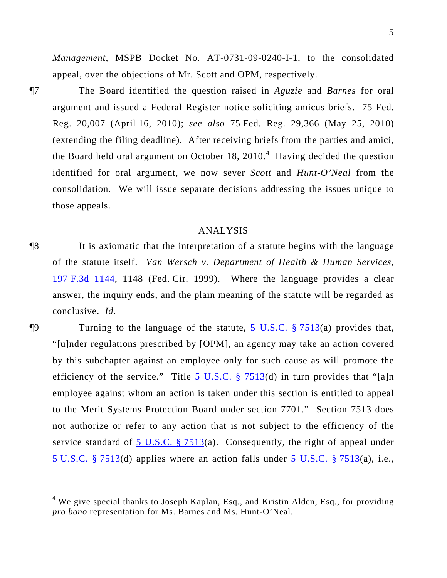*Management*, MSPB Docket No. AT-0731-09-0240-I-1, to the consolidated appeal, over the objections of Mr. Scott and OPM, respectively.

 $\overline{a}$ 

¶7 The Board identified the question raised in *Aguzie* and *Barnes* for oral argument and issued a Federal Register notice soliciting amicus briefs. 75 Fed. Reg. 20,007 (April 16, 2010); *see also* 75 Fed. Reg. 29,366 (May 25, 2010) (extending the filing deadline). After receiving briefs from the parties and amici, the Board held oral argument on October 18, 2010.<sup>[4](#page-4-0)</sup> Having decided the question identified for oral argument, we now sever *Scott* and *Hunt-O'Neal* from the consolidation. We will issue separate decisions addressing the issues unique to those appeals.

## ANALYSIS

¶8 It is axiomatic that the interpretation of a statute begins with the language of the statute itself. *Van Wersch v. Department of Health & Human Services*, [197 F.3d 1144](http://lawlibrary.rutgers.edu/resource.org/fed_reporter/F3/197/197.F3d.1144.html), 1148 (Fed. Cir. 1999). Where the language provides a clear answer, the inquiry ends, and the plain meaning of the statute will be regarded as conclusive. *Id*.

¶9 Turning to the language of the statute, [5 U.S.C. § 7513\(](http://www.law.cornell.edu/uscode/5/7513.html)a) provides that, "[u]nder regulations prescribed by [OPM], an agency may take an action covered by this subchapter against an employee only for such cause as will promote the efficiency of the service." Title [5 U.S.C. § 7513](http://www.law.cornell.edu/uscode/5/7513.html)(d) in turn provides that "[a]n employee against whom an action is taken under this section is entitled to appeal to the Merit Systems Protection Board under section 7701." Section 7513 does not authorize or refer to any action that is not subject to the efficiency of the service standard of  $5$  U.S.C. § 7513(a). Consequently, the right of appeal under [5 U.S.C. § 7513\(](http://www.law.cornell.edu/uscode/5/7513.html)d) applies where an action falls under  $\overline{5}$  U.S.C. § 7513(a), i.e.,

<span id="page-4-0"></span><sup>&</sup>lt;sup>4</sup> We give special thanks to Joseph Kaplan, Esq., and Kristin Alden, Esq., for providing *pro bono* representation for Ms. Barnes and Ms. Hunt-O'Neal.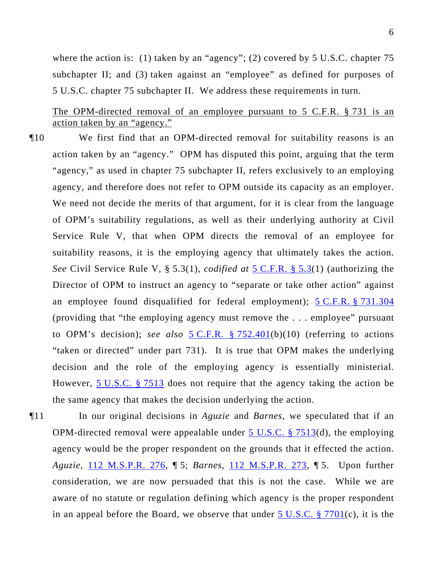where the action is: (1) taken by an "agency"; (2) covered by 5 U.S.C. chapter 75 subchapter II; and (3) taken against an "employee" as defined for purposes of 5 U.S.C. chapter 75 subchapter II. We address these requirements in turn.

The OPM-directed removal of an employee pursuant to 5 C.F.R. § 731 is an action taken by an "agency."

- ¶10 We first find that an OPM-directed removal for suitability reasons is an action taken by an "agency." OPM has disputed this point, arguing that the term "agency," as used in chapter 75 subchapter II, refers exclusively to an employing agency, and therefore does not refer to OPM outside its capacity as an employer. We need not decide the merits of that argument, for it is clear from the language of OPM's suitability regulations, as well as their underlying authority at Civil Service Rule V, that when OPM directs the removal of an employee for suitability reasons, it is the employing agency that ultimately takes the action. *See* Civil Service Rule V, § 5.3(1), *codified at* [5 C.F.R. § 5.3](http://frwebgate.access.gpo.gov/cgi-bin/get-cfr.cgi?YEAR=current&TITLE=5&PART=5&SECTION=3&TYPE=PDF)(1) (authorizing the Director of OPM to instruct an agency to "separate or take other action" against an employee found disqualified for federal employment); [5 C.F.R. § 731.304](http://frwebgate.access.gpo.gov/cgi-bin/get-cfr.cgi?YEAR=current&TITLE=5&PART=731&SECTION=304&TYPE=PDF) (providing that "the employing agency must remove the . . . employee" pursuant to OPM's decision); *see also* [5 C.F.R. § 752.401\(](http://frwebgate.access.gpo.gov/cgi-bin/get-cfr.cgi?YEAR=current&TITLE=5&PART=752&SECTION=401&TYPE=PDF)b)(10) (referring to actions "taken or directed" under part 731). It is true that OPM makes the underlying decision and the role of the employing agency is essentially ministerial. However, [5 U.S.C. § 7513](http://www.law.cornell.edu/uscode/5/7513.html) does not require that the agency taking the action be the same agency that makes the decision underlying the action.
- ¶11 In our original decisions in *Aguzie* and *Barnes*, we speculated that if an OPM-directed removal were appealable under  $5 \text{ U.S.C.}$  § 7513(d), the employing agency would be the proper respondent on the grounds that it effected the action. *Aguzie*, [112 M.S.P.R. 276,](http://www.mspb.gov/netsearch/getdecision.aspx?volume=112&page=276) ¶ 5; *Barnes*, [112 M.S.P.R. 273](http://www.mspb.gov/netsearch/getdecision.aspx?volume=112&page=273), ¶ 5. Upon further consideration, we are now persuaded that this is not the case. While we are aware of no statute or regulation defining which agency is the proper respondent in an appeal before the Board, we observe that under  $5 \text{ U.S.C. }$  § 7701(c), it is the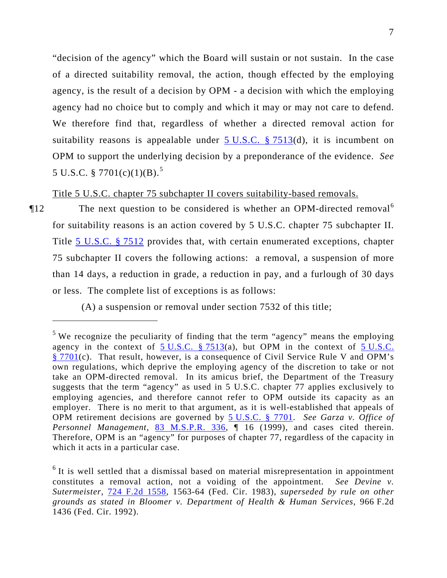"decision of the agency" which the Board will sustain or not sustain. In the case of a directed suitability removal, the action, though effected by the employing agency, is the result of a decision by OPM - a decision with which the employing agency had no choice but to comply and which it may or may not care to defend. We therefore find that, regardless of whether a directed removal action for suitability reasons is appealable under  $5 \text{ U.S.C. }$  § 7513(d), it is incumbent on OPM to support the underlying decision by a preponderance of the evidence. *See*  5 U.S.C. § 7701(c)(1)(B).<sup>5</sup>

Title 5 U.S.C. chapter 75 subchapter II covers suitability-based removals.

The next question to be considered is whether an OPM-directed removal<sup>[6](#page-6-0)</sup> for suitability reasons is an action covered by 5 U.S.C. chapter 75 subchapter II. Title [5 U.S.C. § 7512](http://www.law.cornell.edu/uscode/5/7512.html) provides that, with certain enumerated exceptions, chapter 75 subchapter II covers the following actions: a removal, a suspension of more than 14 days, a reduction in grade, a reduction in pay, and a furlough of 30 days or less. The complete list of exceptions is as follows:

(A) a suspension or removal under section 7532 of this title;

<sup>&</sup>lt;sup>5</sup> We recognize the peculiarity of finding that the term "agency" means the employing agency in the context of  $5 \text{ U.S.C. }$   $$7513(a)$ , but OPM in the context of  $5 \text{ U.S.C.}$ [§ 7701\(](http://www.law.cornell.edu/uscode/5/7701.html)c). That result, however, is a consequence of Civil Service Rule V and OPM's own regulations, which deprive the employing agency of the discretion to take or not take an OPM-directed removal. In its amicus brief, the Department of the Treasury suggests that the term "agency" as used in 5 U.S.C. chapter 77 applies exclusively to employing agencies, and therefore cannot refer to OPM outside its capacity as an employer. There is no merit to that argument, as it is well-established that appeals of OPM retirement decisions are governed by [5 U.S.C. § 7701](http://www.law.cornell.edu/uscode/5/7701.html). *See Garza v. Office of Personnel Management*, [83 M.S.P.R. 336](http://www.mspb.gov/netsearch/getdecision.aspx?volume=83&page=336), 1 16 (1999), and cases cited therein. Therefore, OPM is an "agency" for purposes of chapter 77, regardless of the capacity in which it acts in a particular case.

<span id="page-6-0"></span><sup>&</sup>lt;sup>6</sup> It is well settled that a dismissal based on material misrepresentation in appointment constitutes a removal action, not a voiding of the appointment. *See Devine v. Sutermeister*, [724 F.2d 1558,](http://lawlibrary.rutgers.edu/resource.org/fed_reporter/F2/724/724.F2d.1558.html) 1563-64 (Fed. Cir. 1983), *superseded by rule on other grounds as stated in Bloomer v. Department of Health & Human Services*, 966 F.2d 1436 (Fed. Cir. 1992).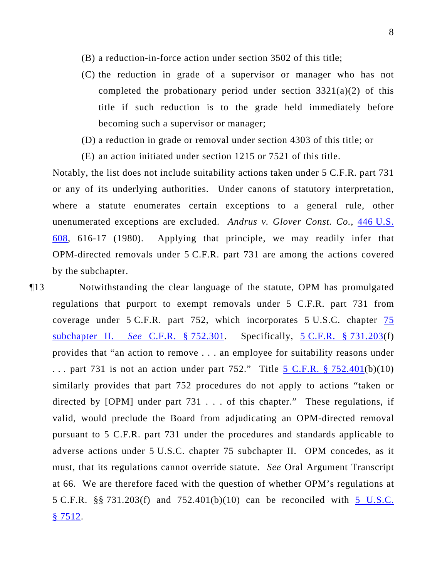- (B) a reduction-in-force action under section 3502 of this title;
- (C) the reduction in grade of a supervisor or manager who has not completed the probationary period under section  $3321(a)(2)$  of this title if such reduction is to the grade held immediately before becoming such a supervisor or manager;
- (D) a reduction in grade or removal under section 4303 of this title; or
- (E) an action initiated under section 1215 or 7521 of this title.

Notably, the list does not include suitability actions taken under 5 C.F.R. part 731 or any of its underlying authorities. Under canons of statutory interpretation, where a statute enumerates certain exceptions to a general rule, other unenumerated exceptions are excluded. *Andrus v. Glover Const. Co.*, [446 U.S.](http://lawlibrary.rutgers.edu/resource.org/US_reports/US/446/446.US.608_1.html)  [608](http://lawlibrary.rutgers.edu/resource.org/US_reports/US/446/446.US.608_1.html), 616-17 (1980). Applying that principle, we may readily infer that OPM-directed removals under 5 C.F.R. part 731 are among the actions covered by the subchapter.

¶13 Notwithstanding the clear language of the statute, OPM has promulgated regulations that purport to exempt removals under 5 C.F.R. part 731 from coverage under 5 C.F.R. part 752, which incorporates 5 U.S.C. chapter [75](http://frwebgate.access.gpo.gov/cgi-bin/get-cfr.cgi?YEAR=current&TITLE=75&PART=752&SECTION=301&TYPE=PDF)  subchapter II. *See* [C.F.R. § 752.301.](http://frwebgate.access.gpo.gov/cgi-bin/get-cfr.cgi?YEAR=current&TITLE=75&PART=752&SECTION=301&TYPE=PDF) Specifically, [5 C.F.R. § 731.203\(](http://frwebgate.access.gpo.gov/cgi-bin/get-cfr.cgi?YEAR=current&TITLE=5&PART=731&SECTION=203&TYPE=PDF)f) provides that "an action to remove . . . an employee for suitability reasons under ... part 731 is not an action under part 752." Title 5 C.F.R.  $\S 752.401(b)(10)$ similarly provides that part 752 procedures do not apply to actions "taken or directed by [OPM] under part 731 . . . of this chapter." These regulations, if valid, would preclude the Board from adjudicating an OPM-directed removal pursuant to 5 C.F.R. part 731 under the procedures and standards applicable to adverse actions under 5 U.S.C. chapter 75 subchapter II. OPM concedes, as it must, that its regulations cannot override statute. *See* Oral Argument Transcript at 66. We are therefore faced with the question of whether OPM's regulations at 5 C.F.R. §§ 731.203(f) and 752.401(b)(10) can be reconciled with [5 U.S.C.](http://www.law.cornell.edu/uscode/5/7512.html)   $§ 7512.$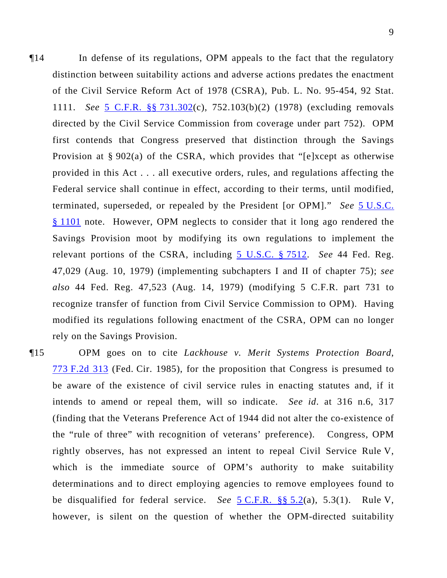¶14 In defense of its regulations, OPM appeals to the fact that the regulatory distinction between suitability actions and adverse actions predates the enactment of the Civil Service Reform Act of 1978 (CSRA), Pub. L. No. 95-454, 92 Stat. 1111. *See* [5 C.F.R. §§ 731.302\(](http://frwebgate.access.gpo.gov/cgi-bin/get-cfr.cgi?YEAR=current&TITLE=5&PART=731&SECTION=302&TYPE=PDF)c), 752.103(b)(2) (1978) (excluding removals directed by the Civil Service Commission from coverage under part 752). OPM first contends that Congress preserved that distinction through the Savings Provision at § 902(a) of the CSRA, which provides that "[e]xcept as otherwise provided in this Act . . . all executive orders, rules, and regulations affecting the Federal service shall continue in effect, according to their terms, until modified, terminated, superseded, or repealed by the President [or OPM]." *See* [5 U.S.C.](http://www.law.cornell.edu/uscode/5/1101.html)  [§ 1101](http://www.law.cornell.edu/uscode/5/1101.html) note. However, OPM neglects to consider that it long ago rendered the Savings Provision moot by modifying its own regulations to implement the relevant portions of the CSRA, including [5 U.S.C. § 7512.](http://www.law.cornell.edu/uscode/5/7512.html) *See* 44 Fed. Reg. 47,029 (Aug. 10, 1979) (implementing subchapters I and II of chapter 75); *see also* 44 Fed. Reg. 47,523 (Aug. 14, 1979) (modifying 5 C.F.R. part 731 to recognize transfer of function from Civil Service Commission to OPM). Having modified its regulations following enactment of the CSRA, OPM can no longer rely on the Savings Provision.

¶15 OPM goes on to cite *Lackhouse v. Merit Systems Protection Board*, [773 F.2d 313](http://lawlibrary.rutgers.edu/resource.org/fed_reporter/F2/773/773.F2d.313.html) (Fed. Cir. 1985), for the proposition that Congress is presumed to be aware of the existence of civil service rules in enacting statutes and, if it intends to amend or repeal them, will so indicate. *See id*. at 316 n.6, 317 (finding that the Veterans Preference Act of 1944 did not alter the co-existence of the "rule of three" with recognition of veterans' preference). Congress, OPM rightly observes, has not expressed an intent to repeal Civil Service Rule V, which is the immediate source of OPM's authority to make suitability determinations and to direct employing agencies to remove employees found to be disqualified for federal service. *See* [5 C.F.R. §§ 5.2\(](http://frwebgate.access.gpo.gov/cgi-bin/get-cfr.cgi?YEAR=current&TITLE=5&PART=5&SECTION=2&TYPE=PDF)a), 5.3(1). Rule V, however, is silent on the question of whether the OPM-directed suitability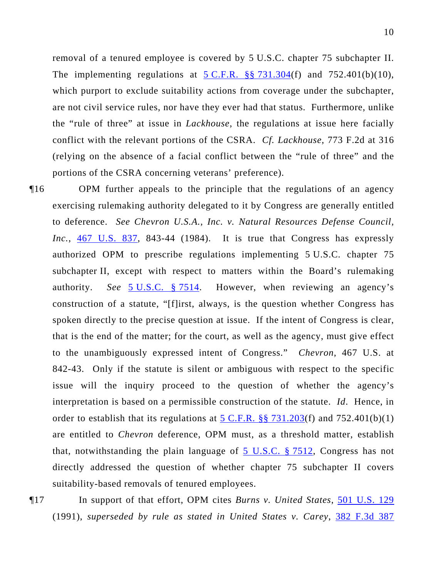removal of a tenured employee is covered by 5 U.S.C. chapter 75 subchapter II. The implementing regulations at  $5 \text{ C.F.R.}$  §§ 731.304(f) and 752.401(b)(10), which purport to exclude suitability actions from coverage under the subchapter, are not civil service rules, nor have they ever had that status. Furthermore, unlike the "rule of three" at issue in *Lackhouse*, the regulations at issue here facially conflict with the relevant portions of the CSRA. *Cf. Lackhouse*, 773 F.2d at 316 (relying on the absence of a facial conflict between the "rule of three" and the portions of the CSRA concerning veterans' preference).

¶16 OPM further appeals to the principle that the regulations of an agency exercising rulemaking authority delegated to it by Congress are generally entitled to deference. *See Chevron U.S.A., Inc. v. Natural Resources Defense Council,*  Inc., [467 U.S. 837,](http://lawlibrary.rutgers.edu/resource.org/US_reports/US/467/467.US.837_1.html) 843-44 (1984). It is true that Congress has expressly authorized OPM to prescribe regulations implementing 5 U.S.C. chapter 75 subchapter II, except with respect to matters within the Board's rulemaking authority. *See* [5 U.S.C. § 7514](http://www.law.cornell.edu/uscode/5/7514.html). However, when reviewing an agency's construction of a statute, "[f]irst, always, is the question whether Congress has spoken directly to the precise question at issue. If the intent of Congress is clear, that is the end of the matter; for the court, as well as the agency, must give effect to the unambiguously expressed intent of Congress." *Chevron*, 467 U.S. at 842-43. Only if the statute is silent or ambiguous with respect to the specific issue will the inquiry proceed to the question of whether the agency's interpretation is based on a permissible construction of the statute. *Id*. Hence, in order to establish that its regulations at  $5 \text{ C.F.R.}$  §§ 731.203(f) and 752.401(b)(1) are entitled to *Chevron* deference, OPM must, as a threshold matter, establish that, notwithstanding the plain language of [5 U.S.C. § 7512,](http://www.law.cornell.edu/uscode/5/7512.html) Congress has not directly addressed the question of whether chapter 75 subchapter II covers suitability-based removals of tenured employees.

¶17 In support of that effort, OPM cites *Burns v. United States*, [501 U.S. 129](http://lawlibrary.rutgers.edu/resource.org/US_reports/US/501/501.US.129_1.html) (1991), *superseded by rule as stated in United States v. Carey*, [382 F.3d 387](http://lawlibrary.rutgers.edu/resource.org/fed_reporter/F3/382/382.F3d.387.html)

10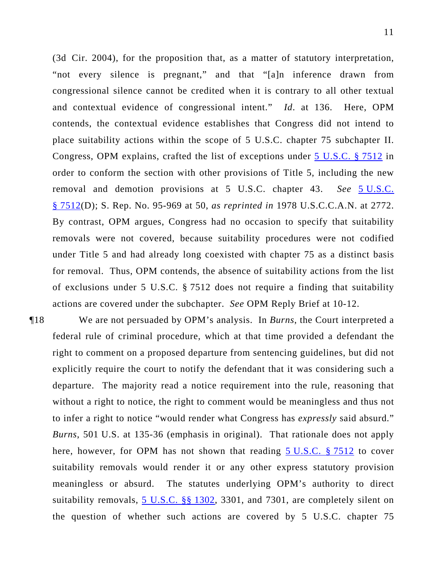(3d Cir. 2004), for the proposition that, as a matter of statutory interpretation, "not every silence is pregnant," and that "[a]n inference drawn from congressional silence cannot be credited when it is contrary to all other textual and contextual evidence of congressional intent." *Id*. at 136. Here, OPM contends, the contextual evidence establishes that Congress did not intend to place suitability actions within the scope of 5 U.S.C. chapter 75 subchapter II. Congress, OPM explains, crafted the list of exceptions under 5 U.S.C. § 7512 in order to conform the section with other provisions of Title 5, including the new removal and demotion provisions at 5 U.S.C. chapter 43. *See* 5 U.S.C. § 7512(D); S. Rep. No. 95-969 at 50, *as reprinted in* 1978 U.S.C.C.A.N. at 2772. By contrast, OPM argues, Congress had no occasion to specify that suitability removals were not covered, because suitability procedures were not codified under Title 5 and had already long coexisted with chapter 75 as a distinct basis for removal. Thus, OPM contends, the absence of suitability actions from the list of exclusions under 5 U.S.C. § 7512 does not require a finding that suitability actions are covered under the subchapter. *See* OPM Reply Brief at 10-12.

¶18 We are not persuaded by OPM's analysis. In *Burns*, the Court interpreted a federal rule of criminal procedure, which at that time provided a defendant the right to comment on a proposed departure from sentencing guidelines, but did not explicitly require the court to notify the defendant that it was considering such a departure. The majority read a notice requirement into the rule, reasoning that without a right to notice, the right to comment would be meaningless and thus not to infer a right to notice "would render what Congress has *expressly* said absurd." *Burns*, 501 U.S. at 135-36 (emphasis in original). That rationale does not apply here, however, for OPM has not shown that reading [5 U.S.C. § 7512](http://www.law.cornell.edu/uscode/5/7512.html) to cover suitability removals would render it or any other express statutory provision meaningless or absurd. The statutes underlying OPM's authority to direct suitability removals, [5 U.S.C. §§ 1302](http://www.law.cornell.edu/uscode/5/1302.html), 3301, and 7301, are completely silent on the question of whether such actions are covered by 5 U.S.C. chapter 75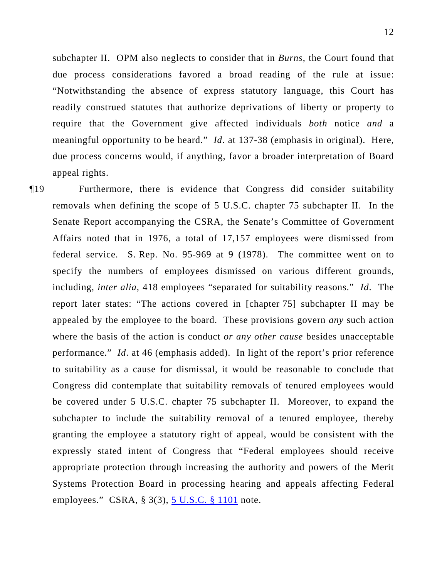subchapter II. OPM also neglects to consider that in *Burns*, the Court found that due process considerations favored a broad reading of the rule at issue: "Notwithstanding the absence of express statutory language, this Court has readily construed statutes that authorize deprivations of liberty or property to require that the Government give affected individuals *both* notice *and* a meaningful opportunity to be heard." *Id*. at 137-38 (emphasis in original). Here, due process concerns would, if anything, favor a broader interpretation of Board appeal rights.

¶19 Furthermore, there is evidence that Congress did consider suitability removals when defining the scope of 5 U.S.C. chapter 75 subchapter II. In the Senate Report accompanying the CSRA, the Senate's Committee of Government Affairs noted that in 1976, a total of 17,157 employees were dismissed from federal service. S. Rep. No. 95-969 at 9 (1978). The committee went on to specify the numbers of employees dismissed on various different grounds, including, *inter alia*, 418 employees "separated for suitability reasons." *Id*. The report later states: "The actions covered in [chapter 75] subchapter II may be appealed by the employee to the board. These provisions govern *any* such action where the basis of the action is conduct *or any other cause* besides unacceptable performance." *Id*. at 46 (emphasis added). In light of the report's prior reference to suitability as a cause for dismissal, it would be reasonable to conclude that Congress did contemplate that suitability removals of tenured employees would be covered under 5 U.S.C. chapter 75 subchapter II. Moreover, to expand the subchapter to include the suitability removal of a tenured employee, thereby granting the employee a statutory right of appeal, would be consistent with the expressly stated intent of Congress that "Federal employees should receive appropriate protection through increasing the authority and powers of the Merit Systems Protection Board in processing hearing and appeals affecting Federal employees." CSRA, § 3(3), [5 U.S.C. § 1101](http://www.law.cornell.edu/uscode/5/1101.html) note.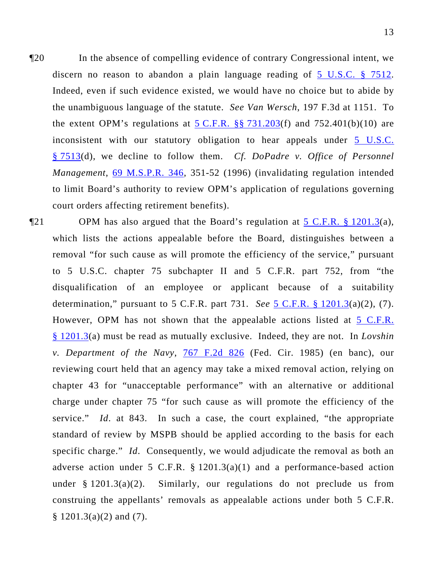¶20 In the absence of compelling evidence of contrary Congressional intent, we discern no reason to abandon a plain language reading of  $\overline{5}$  U.S.C. § 7512. Indeed, even if such evidence existed, we would have no choice but to abide by the unambiguous language of the statute. *See Van Wersch*, 197 F.3d at 1151. To the extent OPM's regulations at  $5$  C.F.R. §§ 731.203(f) and 752.401(b)(10) are inconsistent with our statutory obligation to hear appeals under [5 U.S.C.](http://www.law.cornell.edu/uscode/5/7513.html)  [§ 7513\(](http://www.law.cornell.edu/uscode/5/7513.html)d), we decline to follow them. *Cf. DoPadre v. Office of Personnel Management*, [69 M.S.P.R. 346,](http://www.mspb.gov/netsearch/getdecision.aspx?volume=69&page=346) 351-52 (1996) (invalidating regulation intended to limit Board's authority to review OPM's application of regulations governing court orders affecting retirement benefits).

 $\P$ 21 OPM has also argued that the Board's regulation at [5 C.F.R. § 1201.3](http://frwebgate.access.gpo.gov/cgi-bin/get-cfr.cgi?YEAR=current&TITLE=5&PART=1201&SECTION=3&TYPE=PDF)(a), which lists the actions appealable before the Board, distinguishes between a removal "for such cause as will promote the efficiency of the service," pursuant to 5 U.S.C. chapter 75 subchapter II and 5 C.F.R. part 752, from "the disqualification of an employee or applicant because of a suitability determination," pursuant to 5 C.F.R. part 731. *See* [5 C.F.R. § 1201.3](http://frwebgate.access.gpo.gov/cgi-bin/get-cfr.cgi?YEAR=current&TITLE=5&PART=1201&SECTION=3&TYPE=PDF)(a)(2), (7). However, OPM has not shown that the appealable actions listed at [5 C.F.R.](http://frwebgate.access.gpo.gov/cgi-bin/get-cfr.cgi?YEAR=current&TITLE=5&PART=1201&SECTION=3&TYPE=PDF)  [§ 1201.3\(](http://frwebgate.access.gpo.gov/cgi-bin/get-cfr.cgi?YEAR=current&TITLE=5&PART=1201&SECTION=3&TYPE=PDF)a) must be read as mutually exclusive. Indeed, they are not. In *Lovshin v. Department of the Navy*, [767 F.2d 826](http://lawlibrary.rutgers.edu/resource.org/fed_reporter/F2/767/767.F2d.826.html) (Fed. Cir. 1985) (en banc), our reviewing court held that an agency may take a mixed removal action, relying on chapter 43 for "unacceptable performance" with an alternative or additional charge under chapter 75 "for such cause as will promote the efficiency of the service." *Id*. at 843. In such a case, the court explained, "the appropriate standard of review by MSPB should be applied according to the basis for each specific charge." *Id*. Consequently, we would adjudicate the removal as both an adverse action under 5 C.F.R.  $\S$  1201.3(a)(1) and a performance-based action under  $\S 1201.3(a)(2)$ . Similarly, our regulations do not preclude us from construing the appellants' removals as appealable actions under both 5 C.F.R.  $§ 1201.3(a)(2)$  and (7).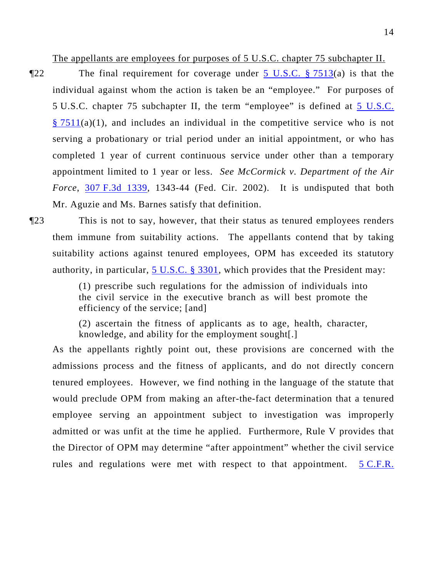The appellants are employees for purposes of 5 U.S.C. chapter 75 subchapter II.

 $\P$ 22 The final requirement for coverage under  $\frac{5 \text{ U.S.C. } }{3}$  7513(a) is that the individual against whom the action is taken be an "employee." For purposes of 5 U.S.C. chapter 75 subchapter II, the term "employee" is defined at [5 U.S.C.](http://www.law.cornell.edu/uscode/5/7511.html)   $\S 7511(a)(1)$ , and includes an individual in the competitive service who is not serving a probationary or trial period under an initial appointment, or who has completed 1 year of current continuous service under other than a temporary appointment limited to 1 year or less. *See McCormick v. Department of the Air Force*, [307 F.3d 1339,](http://lawlibrary.rutgers.edu/resource.org/fed_reporter/F3/307/307.F3d.1339.html) 1343-44 (Fed. Cir. 2002). It is undisputed that both Mr. Aguzie and Ms. Barnes satisfy that definition.

¶23 This is not to say, however, that their status as tenured employees renders them immune from suitability actions. The appellants contend that by taking suitability actions against tenured employees, OPM has exceeded its statutory authority, in particular,  $5 \text{ U.S.C. }$  § 3301, which provides that the President may:

> (1) prescribe such regulations for the admission of individuals into the civil service in the executive branch as will best promote the efficiency of the service; [and]

> (2) ascertain the fitness of applicants as to age, health, character, knowledge, and ability for the employment sought[.]

As the appellants rightly point out, these provisions are concerned with the admissions process and the fitness of applicants, and do not directly concern tenured employees. However, we find nothing in the language of the statute that would preclude OPM from making an after-the-fact determination that a tenured employee serving an appointment subject to investigation was improperly admitted or was unfit at the time he applied. Furthermore, Rule V provides that the Director of OPM may determine "after appointment" whether the civil service rules and regulations were met with respect to that appointment. [5 C.F.R.](http://frwebgate.access.gpo.gov/cgi-bin/get-cfr.cgi?YEAR=current&TITLE=5&PART=5&SECTION=2&TYPE=PDF)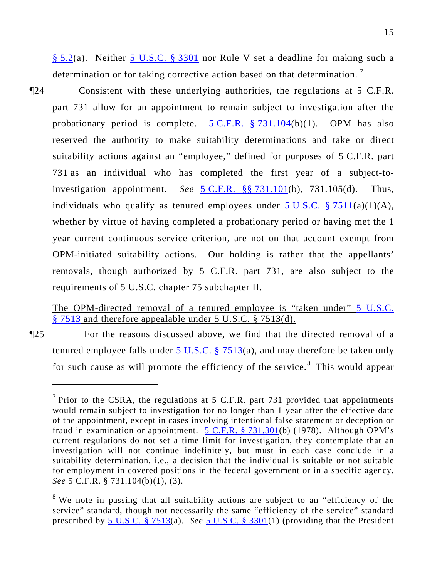[§ 5.2](http://frwebgate.access.gpo.gov/cgi-bin/get-cfr.cgi?YEAR=current&TITLE=5&PART=5&SECTION=2&TYPE=PDF)(a). Neither [5 U.S.C. § 3301](http://www.law.cornell.edu/uscode/5/3301.html) nor Rule V set a deadline for making such a determination or for taking corrective action based on that determination.<sup>[7](#page-14-0)</sup>

¶24 Consistent with these underlying authorities, the regulations at 5 C.F.R. part 731 allow for an appointment to remain subject to investigation after the probationary period is complete.  $5 \text{ C.F.R.}$   $\frac{8}{3}$  731.104(b)(1). OPM has also reserved the authority to make suitability determinations and take or direct suitability actions against an "employee," defined for purposes of 5 C.F.R. part 731 as an individual who has completed the first year of a subject-toinvestigation appointment. *See* [5 C.F.R. §§ 731.101](http://frwebgate.access.gpo.gov/cgi-bin/get-cfr.cgi?YEAR=current&TITLE=5&PART=731&SECTION=101&TYPE=PDF)(b), 731.105(d). Thus, individuals who qualify as tenured employees under  $5 \text{ U.S.C. }$  §  $7511(a)(1)(A)$ , whether by virtue of having completed a probationary period or having met the 1 year current continuous service criterion, are not on that account exempt from OPM-initiated suitability actions. Our holding is rather that the appellants' removals, though authorized by 5 C.F.R. part 731, are also subject to the requirements of 5 U.S.C. chapter 75 subchapter II.

## The OPM-directed removal of a tenured employee is "taken under" 5 U.S.C. [§ 7513](http://www.law.cornell.edu/uscode/5/7513.html) and therefore appealable under 5 U.S.C. § 7513(d).

¶25 For the reasons discussed above, we find that the directed removal of a tenured employee falls under 5 U.S.C.  $\S$  7513(a), and may therefore be taken only for such cause as will promote the efficiency of the service.<sup>[8](#page-14-1)</sup> This would appear

<span id="page-14-0"></span><sup>&</sup>lt;sup>7</sup> Prior to the CSRA, the regulations at 5 C.F.R. part 731 provided that appointments would remain subject to investigation for no longer than 1 year after the effective date of the appointment, except in cases involving intentional false statement or deception or fraud in examination or appointment. [5 C.F.R. § 731.301\(](http://frwebgate.access.gpo.gov/cgi-bin/get-cfr.cgi?YEAR=current&TITLE=5&PART=731&SECTION=301&TYPE=PDF)b) (1978). Although OPM's current regulations do not set a time limit for investigation, they contemplate that an investigation will not continue indefinitely, but must in each case conclude in a suitability determination, i.e., a decision that the individual is suitable or not suitable for employment in covered positions in the federal government or in a specific agency. *See* 5 C.F.R. § 731.104(b)(1), (3).

<span id="page-14-1"></span> $8$  We note in passing that all suitability actions are subject to an "efficiency of the service" standard, though not necessarily the same "efficiency of the service" standard prescribed by [5 U.S.C. § 7513\(](http://www.law.cornell.edu/uscode/5/7513.html)a). *See* [5 U.S.C. § 3301\(](http://www.law.cornell.edu/uscode/5/3301.html)1) (providing that the President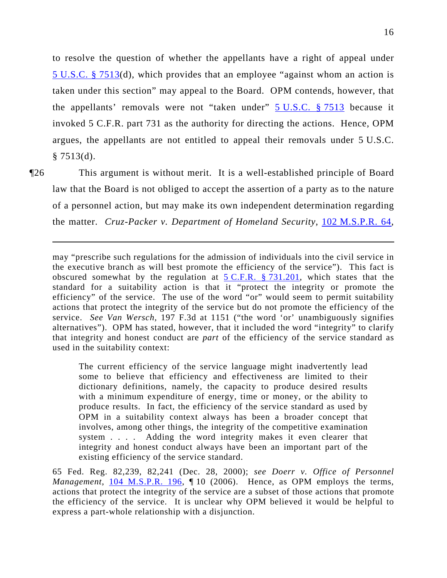16

to resolve the question of whether the appellants have a right of appeal under 5 U.S.C. § 7513(d), which provides that an employee "against whom an action is taken under this section" may appeal to the Board. OPM contends, however, that the appellants' removals were not "taken under"  $\frac{5 \text{ U.S.C.}}{5 \text{ U.S.C.}}$   $\frac{25 \text{ V.S.}}{5 \text{ V.S.}}$ invoked 5 C.F.R. part 731 as the authority for directing the actions. Hence, OPM argues, the appellants are not entitled to appeal their removals under 5 U.S.C.  $§ 7513(d).$ 

 $\overline{a}$ 

¶26 This argument is without merit. It is a well-established principle of Board law that the Board is not obliged to accept the assertion of a party as to the nature of a personnel action, but may make its own independent determination regarding the matter. *Cruz-Packer v. Department of Homeland Security*, [102 M.S.P.R. 64](http://www.mspb.gov/netsearch/getdecision.aspx?volume=102&page=64),

may "prescribe such regulations for the admission of individuals into the civil service in the executive branch as will best promote the efficiency of the service"). This fact is obscured somewhat by the regulation at  $5 \text{ C.F.R.}$  § 731.201, which states that the standard for a suitability action is that it "protect the integrity or promote the efficiency" of the service. The use of the word "or" would seem to permit suitability actions that protect the integrity of the service but do not promote the efficiency of the service. *See Van Wersch,* 197 F.3d at 1151 ("the word 'or' unambiguously signifies alternatives"). OPM has stated, however, that it included the word "integrity" to clarify that integrity and honest conduct are *part* of the efficiency of the service standard as used in the suitability context:

The current efficiency of the service language might inadvertently lead some to believe that efficiency and effectiveness are limited to their dictionary definitions, namely, the capacity to produce desired results with a minimum expenditure of energy, time or money, or the ability to produce results. In fact, the efficiency of the service standard as used by OPM in a suitability context always has been a broader concept that involves, among other things, the integrity of the competitive examination system . . . . Adding the word integrity makes it even clearer that integrity and honest conduct always have been an important part of the existing efficiency of the service standard.

65 Fed. Reg. 82,239, 82,241 (Dec. 28, 2000); *see Doerr v. Office of Personnel Management*, [104 M.S.P.R. 196](http://www.mspb.gov/netsearch/getdecision.aspx?volume=104&page=196), ¶ 10 (2006). Hence, as OPM employs the terms, actions that protect the integrity of the service are a subset of those actions that promote the efficiency of the service. It is unclear why OPM believed it would be helpful to express a part-whole relationship with a disjunction.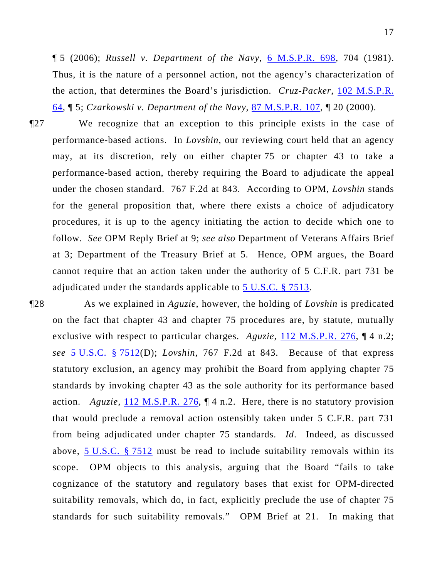¶ 5 (2006); *Russell v. Department of the Navy*, 6 M.S.P.R. 698, 704 (1981). Thus, it is the nature of a personnel action, not the agency's characterization of the action, that determines the Board's jurisdiction. *Cruz-Packer*, 102 M.S.P.R. 64, ¶ 5; *Czarkowski v. Department of the Navy*, 87 M.S.P.R. 107, ¶ 20 (2000).

¶27 We recognize that an exception to this principle exists in the case of performance-based actions. In *Lovshin*, our reviewing court held that an agency may, at its discretion, rely on either chapter 75 or chapter 43 to take a performance-based action, thereby requiring the Board to adjudicate the appeal under the chosen standard. 767 F.2d at 843. According to OPM, *Lovshin* stands for the general proposition that, where there exists a choice of adjudicatory procedures, it is up to the agency initiating the action to decide which one to follow. *See* OPM Reply Brief at 9; *see also* Department of Veterans Affairs Brief at 3; Department of the Treasury Brief at 5. Hence, OPM argues, the Board cannot require that an action taken under the authority of 5 C.F.R. part 731 be adjudicated under the standards applicable to [5 U.S.C. § 7513.](http://www.law.cornell.edu/uscode/5/7513.html)

¶28 As we explained in *Aguzie*, however, the holding of *Lovshin* is predicated on the fact that chapter 43 and chapter 75 procedures are, by statute, mutually exclusive with respect to particular charges. *Aguzie*, [112 M.S.P.R. 276,](http://www.mspb.gov/netsearch/getdecision.aspx?volume=112&page=276) ¶ 4 n.2; *see* [5 U.S.C. § 7512](http://www.law.cornell.edu/uscode/5/7512.html)(D); *Lovshin*, 767 F.2d at 843. Because of that express statutory exclusion, an agency may prohibit the Board from applying chapter 75 standards by invoking chapter 43 as the sole authority for its performance based action. *Aguzie*,  $\underline{112 M.S.P.R. 276}$  $\underline{112 M.S.P.R. 276}$  $\underline{112 M.S.P.R. 276}$ ,  $\P$  4 n.2. Here, there is no statutory provision that would preclude a removal action ostensibly taken under 5 C.F.R. part 731 from being adjudicated under chapter 75 standards. *Id*. Indeed, as discussed above, [5 U.S.C. § 7512](http://www.law.cornell.edu/uscode/5/7512.html) must be read to include suitability removals within its scope. OPM objects to this analysis, arguing that the Board "fails to take cognizance of the statutory and regulatory bases that exist for OPM-directed suitability removals, which do, in fact, explicitly preclude the use of chapter 75 standards for such suitability removals." OPM Brief at 21. In making that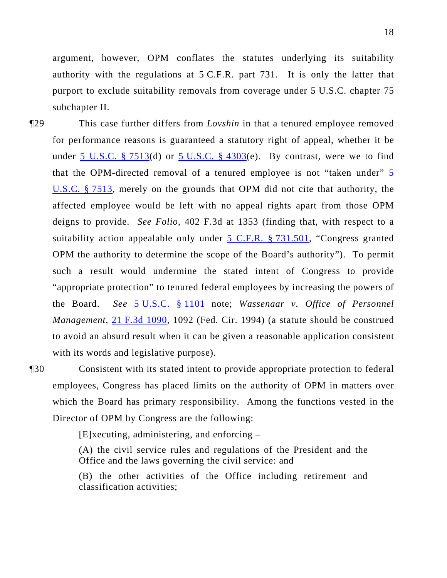argument, however, OPM conflates the statutes underlying its suitability authority with the regulations at 5 C.F.R. part 731. It is only the latter that purport to exclude suitability removals from coverage under 5 U.S.C. chapter 75 subchapter II.

¶29 This case further differs from *Lovshin* in that a tenured employee removed for performance reasons is guaranteed a statutory right of appeal, whether it be under [5 U.S.C. § 7513\(](http://www.law.cornell.edu/uscode/5/7513.html)d) or [5 U.S.C. § 4303\(](http://www.law.cornell.edu/uscode/5/4303.html)e). By contrast, were we to find that the OPM-directed removal of a tenured employee is not "taken under"  $\frac{5}{5}$ [U.S.C. § 7513](http://www.law.cornell.edu/uscode/5/7513.html), merely on the grounds that OPM did not cite that authority, the affected employee would be left with no appeal rights apart from those OPM deigns to provide. *See Folio*, 402 F.3d at 1353 (finding that, with respect to a suitability action appealable only under  $5$  C.F.R.  $§$  731.501, "Congress granted OPM the authority to determine the scope of the Board's authority"). To permit such a result would undermine the stated intent of Congress to provide "appropriate protection" to tenured federal employees by increasing the powers of the Board. *See* [5 U.S.C. § 1101](http://www.law.cornell.edu/uscode/5/1101.html) note; *Wassenaar v. Office of Personnel Management*, [21 F.3d 1090,](http://lawlibrary.rutgers.edu/resource.org/fed_reporter/F3/21/21.F3d.1090.html) 1092 (Fed. Cir. 1994) (a statute should be construed to avoid an absurd result when it can be given a reasonable application consistent with its words and legislative purpose).

¶30 Consistent with its stated intent to provide appropriate protection to federal employees, Congress has placed limits on the authority of OPM in matters over which the Board has primary responsibility. Among the functions vested in the Director of OPM by Congress are the following:

[E]xecuting, administering, and enforcing –

(A) the civil service rules and regulations of the President and the Office and the laws governing the civil service: and

(B) the other activities of the Office including retirement and classification activities;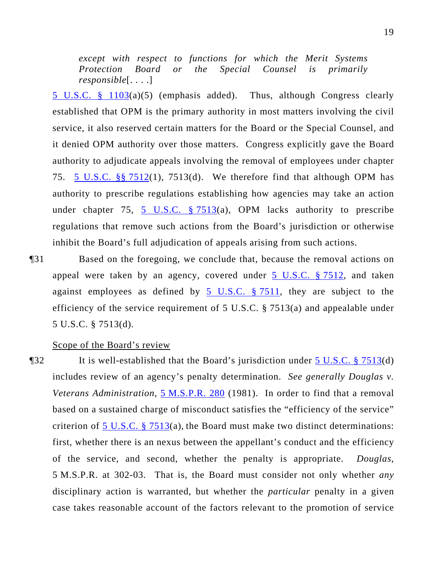*except with respect to functions for which the Merit Systems Protection Board or the Special Counsel is primarily responsible*[. . . .]

[5 U.S.C. § 1103](http://www.law.cornell.edu/uscode/5/1103.html)(a)(5) (emphasis added). Thus, although Congress clearly established that OPM is the primary authority in most matters involving the civil service, it also reserved certain matters for the Board or the Special Counsel, and it denied OPM authority over those matters. Congress explicitly gave the Board authority to adjudicate appeals involving the removal of employees under chapter 75. [5 U.S.C. §§ 7512\(](http://www.law.cornell.edu/uscode/5/7512.html)1), 7513(d). We therefore find that although OPM has authority to prescribe regulations establishing how agencies may take an action under chapter 75, 5 U.S.C.  $\S$  7513(a), OPM lacks authority to prescribe regulations that remove such actions from the Board's jurisdiction or otherwise inhibit the Board's full adjudication of appeals arising from such actions.

¶31 Based on the foregoing, we conclude that, because the removal actions on appeal were taken by an agency, covered under [5 U.S.C. § 7512,](http://www.law.cornell.edu/uscode/5/7512.html) and taken against employees as defined by  $5 \text{ U.S.C. }$  \$7511, they are subject to the efficiency of the service requirement of 5 U.S.C. § 7513(a) and appealable under 5 U.S.C. § 7513(d).

Scope of the Board's review

¶32 It is well-established that the Board's jurisdiction under [5 U.S.C. § 7513](http://www.law.cornell.edu/uscode/5/7513.html)(d) includes review of an agency's penalty determination. *See generally Douglas v. Veterans Administration*, [5 M.S.P.R. 280](http://www.mspb.gov/netsearch/getdecision.aspx?volume=5&page=280) (1981). In order to find that a removal based on a sustained charge of misconduct satisfies the "efficiency of the service" criterion of  $5 \text{ U.S.C. }$   $\S$   $7513(a)$ , the Board must make two distinct determinations: first, whether there is an nexus between the appellant's conduct and the efficiency of the service, and second, whether the penalty is appropriate. *Douglas*, 5 M.S.P.R. at 302-03. That is, the Board must consider not only whether *any*  disciplinary action is warranted, but whether the *particular* penalty in a given case takes reasonable account of the factors relevant to the promotion of service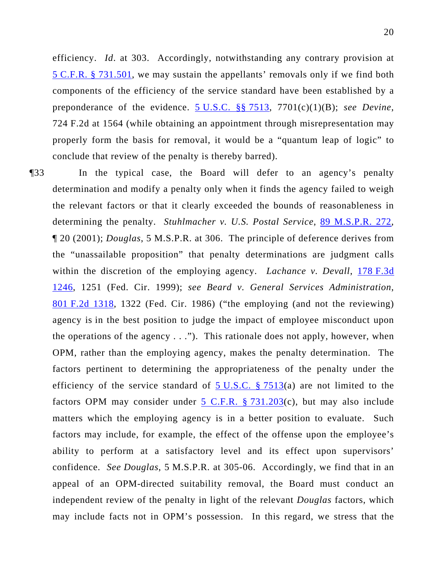efficiency. *Id*. at 303. Accordingly, notwithstanding any contrary provision at 5 C.F.R. § 731.501, we may sustain the appellants' removals only if we find both components of the efficiency of the service standard have been established by a preponderance of the evidence. 5 U.S.C. §§ 7513, 7701(c)(1)(B); *see Devine*, 724 F.2d at 1564 (while obtaining an appointment through misrepresentation may properly form the basis for removal, it would be a "quantum leap of logic" to conclude that review of the penalty is thereby barred).

¶33 In the typical case, the Board will defer to an agency's penalty determination and modify a penalty only when it finds the agency failed to weigh the relevant factors or that it clearly exceeded the bounds of reasonableness in determining the penalty. *Stuhlmacher v. U.S. Postal Service*, [89 M.S.P.R. 272](http://www.mspb.gov/netsearch/getdecision.aspx?volume=89&page=272), ¶ 20 (2001); *Douglas*, 5 M.S.P.R. at 306. The principle of deference derives from the "unassailable proposition" that penalty determinations are judgment calls within the discretion of the employing agency. *Lachance v. Devall*, [178 F.3d](http://lawlibrary.rutgers.edu/resource.org/fed_reporter/F3/178/178.F3d.1246.html)  [1246](http://lawlibrary.rutgers.edu/resource.org/fed_reporter/F3/178/178.F3d.1246.html), 1251 (Fed. Cir. 1999); *see Beard v. General Services Administration*, [801 F.2d 1318](http://lawlibrary.rutgers.edu/resource.org/fed_reporter/F2/801/801.F2d.1318.html), 1322 (Fed. Cir. 1986) ("the employing (and not the reviewing) agency is in the best position to judge the impact of employee misconduct upon the operations of the agency  $\dots$ "). This rationale does not apply, however, when OPM, rather than the employing agency, makes the penalty determination. The factors pertinent to determining the appropriateness of the penalty under the efficiency of the service standard of  $5$  U.S.C. § 7513(a) are not limited to the factors OPM may consider under  $5$  C.F.R. § 731.203(c), but may also include matters which the employing agency is in a better position to evaluate. Such factors may include, for example, the effect of the offense upon the employee's ability to perform at a satisfactory level and its effect upon supervisors' confidence. *See Douglas*, 5 M.S.P.R. at 305-06. Accordingly, we find that in an appeal of an OPM-directed suitability removal, the Board must conduct an independent review of the penalty in light of the relevant *Douglas* factors, which may include facts not in OPM's possession. In this regard, we stress that the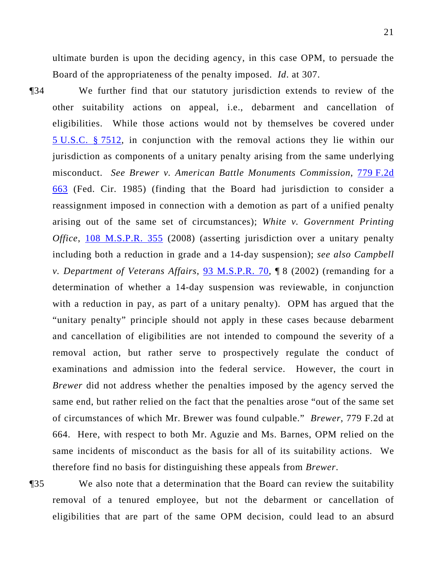ultimate burden is upon the deciding agency, in this case OPM, to persuade the Board of the appropriateness of the penalty imposed. *Id*. at 307.

¶34 We further find that our statutory jurisdiction extends to review of the other suitability actions on appeal, i.e., debarment and cancellation of eligibilities. While those actions would not by themselves be covered under [5 U.S.C. § 7512,](http://www.law.cornell.edu/uscode/5/7512.html) in conjunction with the removal actions they lie within our jurisdiction as components of a unitary penalty arising from the same underlying misconduct. *See Brewer v. American Battle Monuments Commission*, [779 F.2d](http://lawlibrary.rutgers.edu/resource.org/fed_reporter/F2/779/779.F2d.663.html)  [663](http://lawlibrary.rutgers.edu/resource.org/fed_reporter/F2/779/779.F2d.663.html) (Fed. Cir. 1985) (finding that the Board had jurisdiction to consider a reassignment imposed in connection with a demotion as part of a unified penalty arising out of the same set of circumstances); *White v. Government Printing Office*, [108 M.S.P.R. 355](http://www.mspb.gov/netsearch/getdecision.aspx?volume=108&page=355) (2008) (asserting jurisdiction over a unitary penalty including both a reduction in grade and a 14-day suspension); *see also Campbell v. Department of Veterans Affairs*, [93 M.S.P.R. 70](http://www.mspb.gov/netsearch/getdecision.aspx?volume=93&page=70), ¶ 8 (2002) (remanding for a determination of whether a 14-day suspension was reviewable, in conjunction with a reduction in pay, as part of a unitary penalty). OPM has argued that the "unitary penalty" principle should not apply in these cases because debarment and cancellation of eligibilities are not intended to compound the severity of a removal action, but rather serve to prospectively regulate the conduct of examinations and admission into the federal service. However, the court in *Brewer* did not address whether the penalties imposed by the agency served the same end, but rather relied on the fact that the penalties arose "out of the same set of circumstances of which Mr. Brewer was found culpable." *Brewer*, 779 F.2d at 664. Here, with respect to both Mr. Aguzie and Ms. Barnes, OPM relied on the same incidents of misconduct as the basis for all of its suitability actions. We therefore find no basis for distinguishing these appeals from *Brewer*.

¶35 We also note that a determination that the Board can review the suitability removal of a tenured employee, but not the debarment or cancellation of eligibilities that are part of the same OPM decision, could lead to an absurd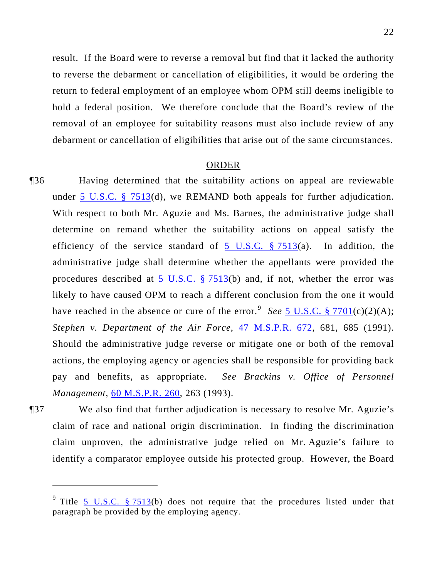result. If the Board were to reverse a removal but find that it lacked the authority to reverse the debarment or cancellation of eligibilities, it would be ordering the return to federal employment of an employee whom OPM still deems ineligible to hold a federal position. We therefore conclude that the Board's review of the removal of an employee for suitability reasons must also include review of any debarment or cancellation of eligibilities that arise out of the same circumstances.

#### ORDER

- ¶36 Having determined that the suitability actions on appeal are reviewable under [5 U.S.C. § 7513](http://www.law.cornell.edu/uscode/5/7513.html)(d), we REMAND both appeals for further adjudication. With respect to both Mr. Aguzie and Ms. Barnes, the administrative judge shall determine on remand whether the suitability actions on appeal satisfy the efficiency of the service standard of  $5 \text{ U.S.C. }$  § 7513(a). In addition, the administrative judge shall determine whether the appellants were provided the procedures described at [5 U.S.C. § 7513](http://www.law.cornell.edu/uscode/5/7513.html)(b) and, if not, whether the error was likely to have caused OPM to reach a different conclusion from the one it would have reached in the absence or cure of the error.<sup>[9](#page-21-0)</sup> See  $\frac{5 \text{ U.S.C. } }{2701 \text{ (c)}(2)(\text{A})}$ ; *Stephen v. Department of the Air Force*, [47 M.S.P.R. 672,](http://www.mspb.gov/netsearch/getdecision.aspx?volume=47&page=672) 681, 685 (1991). Should the administrative judge reverse or mitigate one or both of the removal actions, the employing agency or agencies shall be responsible for providing back pay and benefits, as appropriate. *See Brackins v. Office of Personnel Management*, [60 M.S.P.R. 260,](http://www.mspb.gov/netsearch/getdecision.aspx?volume=60&page=260) 263 (1993).
- ¶37 We also find that further adjudication is necessary to resolve Mr. Aguzie's claim of race and national origin discrimination. In finding the discrimination claim unproven, the administrative judge relied on Mr. Aguzie's failure to identify a comparator employee outside his protected group. However, the Board

 $\overline{a}$ 

<span id="page-21-0"></span><sup>&</sup>lt;sup>9</sup> Title [5 U.S.C. § 7513](http://www.law.cornell.edu/uscode/5/7513.html)(b) does not require that the procedures listed under that paragraph be provided by the employing agency.